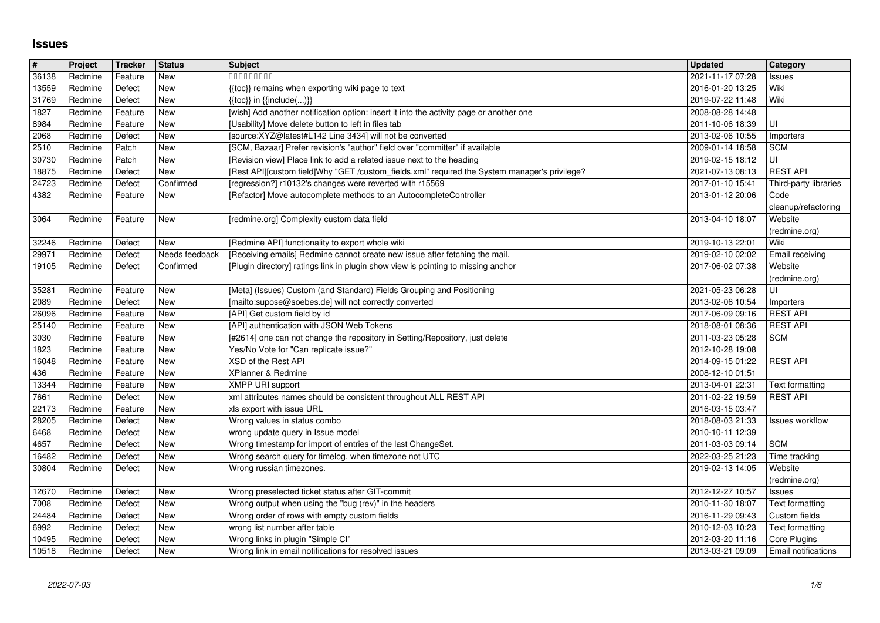## **Issues**

| $\sqrt{\frac{4}{15}}$   | Project            | Tracker            | Status         | Subject                                                                                                                                                                | <b>Updated</b>                       | Category                        |
|-------------------------|--------------------|--------------------|----------------|------------------------------------------------------------------------------------------------------------------------------------------------------------------------|--------------------------------------|---------------------------------|
| 36138                   | Redmine            | Feature            | New            | 000000000                                                                                                                                                              | 2021-11-17 07:28                     | Issues                          |
| 13559<br>31769          | Redmine<br>Redmine | Defect<br>Defect   | New<br>New     | {{toc}} remains when exporting wiki page to text<br>$\{\{\text{toc}\}\}\$ in $\{\{\text{include}()\}\}$                                                                | 2016-01-20 13:25<br>2019-07-22 11:48 | Wiki<br>Wiki                    |
| 1827                    | Redmine            | Feature            | New            | [wish] Add another notification option: insert it into the activity page or another one                                                                                | 2008-08-28 14:48                     |                                 |
| 8984                    | Redmine            | Feature            | New            | [Usability] Move delete button to left in files tab                                                                                                                    | 2011-10-06 18:39                     | UI                              |
| 2068                    | Redmine            | Defect             | New            | [source:XYZ@latest#L142 Line 3434] will not be converted                                                                                                               | 2013-02-06 10:55                     | Importers                       |
| 2510                    | Redmine            | Patch              | New            | [SCM, Bazaar] Prefer revision's "author" field over "committer" if available                                                                                           | 2009-01-14 18:58                     | <b>SCM</b>                      |
| 30730<br>18875          | Redmine<br>Redmine | Patch<br>Defect    | New<br>New     | [Revision view] Place link to add a related issue next to the heading<br>[Rest API][custom field]Why "GET /custom_fields.xml" required the System manager's privilege? | 2019-02-15 18:12<br>2021-07-13 08:13 | UI<br><b>REST API</b>           |
| 24723                   | Redmine            | Defect             | Confirmed      | [regression?] r10132's changes were reverted with r15569                                                                                                               | 2017-01-10 15:41                     | Third-party libraries           |
| 4382                    | Redmine            | Feature            | New            | [Refactor] Move autocomplete methods to an AutocompleteController                                                                                                      | 2013-01-12 20:06                     | Code                            |
|                         |                    |                    |                |                                                                                                                                                                        |                                      | cleanup/refactoring             |
| 3064                    | Redmine            | Feature            | New            | [redmine.org] Complexity custom data field                                                                                                                             | 2013-04-10 18:07                     | Website                         |
| 32246                   | Redmine            | Defect             | New            | [Redmine API] functionality to export whole wiki                                                                                                                       | 2019-10-13 22:01                     | (redmine.org)<br>Wiki           |
| 29971                   | Redmine            | Defect             | Needs feedback | [Receiving emails] Redmine cannot create new issue after fetching the mail.                                                                                            | 2019-02-10 02:02                     | Email receiving                 |
| 19105                   | Redmine            | Defect             | Confirmed      | [Plugin directory] ratings link in plugin show view is pointing to missing anchor                                                                                      | 2017-06-02 07:38                     | Website                         |
|                         |                    |                    |                |                                                                                                                                                                        |                                      | (redmine.org)                   |
| 35281                   | Redmine            | Feature            | New            | [Meta] (Issues) Custom (and Standard) Fields Grouping and Positioning                                                                                                  | 2021-05-23 06:28                     | UI                              |
| 2089<br>26096           | Redmine<br>Redmine | Defect<br>Feature  | New<br>New     | [mailto:supose@soebes.de] will not correctly converted<br>[API] Get custom field by id                                                                                 | 2013-02-06 10:54<br>2017-06-09 09:16 | Importers<br><b>REST API</b>    |
| 25140                   | Redmine            | Feature            | New            | [API] authentication with JSON Web Tokens                                                                                                                              | 2018-08-01 08:36                     | <b>REST API</b>                 |
| 3030                    | Redmine            | Feature            | New            | [#2614] one can not change the repository in Setting/Repository, just delete                                                                                           | 2011-03-23 05:28                     | <b>SCM</b>                      |
| 1823                    | Redmine            | Feature            | New            | Yes/No Vote for "Can replicate issue?"                                                                                                                                 | 2012-10-28 19:08                     |                                 |
| 16048                   | Redmine            | Feature            | New            | XSD of the Rest API                                                                                                                                                    | 2014-09-15 01:22                     | <b>REST API</b>                 |
| 436<br>13344            | Redmine<br>Redmine | Feature<br>Feature | New<br>New     | XPlanner & Redmine<br><b>XMPP URI support</b>                                                                                                                          | 2008-12-10 01:51<br>2013-04-01 22:31 | Text formatting                 |
| 7661                    | Redmine            | Defect             | New            | xml attributes names should be consistent throughout ALL REST API                                                                                                      | 2011-02-22 19:59                     | <b>REST API</b>                 |
| 22173                   | Redmine            | Feature            | New            | xls export with issue URL                                                                                                                                              | 2016-03-15 03:47                     |                                 |
| 28205                   | Redmine            | Defect             | New            | Wrong values in status combo                                                                                                                                           | 2018-08-03 21:33                     | <b>Issues workflow</b>          |
| 6468                    | Redmine            | Defect             | New            | wrong update query in Issue model                                                                                                                                      | 2010-10-11 12:39                     |                                 |
| 4657                    | Redmine            | Defect             | New            | Wrong timestamp for import of entries of the last ChangeSet.                                                                                                           | 2011-03-03 09:14                     | <b>SCM</b>                      |
| 16482<br>30804          | Redmine<br>Redmine | Defect<br>Defect   | New<br>New     | Wrong search query for timelog, when timezone not UTC<br>Wrong russian timezones.                                                                                      | 2022-03-25 21:23<br>2019-02-13 14:05 | Time tracking<br>Website        |
|                         |                    |                    |                |                                                                                                                                                                        |                                      | (redmine.org)                   |
| 12670                   | Redmine            | Defect             | New            | Wrong preselected ticket status after GIT-commit                                                                                                                       | 2012-12-27 10:57                     | Issues                          |
| 7008                    | Redmine            | Defect             | New            | Wrong output when using the "bug (rev)" in the headers                                                                                                                 | 2010-11-30 18:07                     | Text formatting                 |
| 24484                   | Redmine            | Defect             | New            | Wrong order of rows with empty custom fields                                                                                                                           | 2016-11-29 09:43                     | Custom fields                   |
| $\boxed{6992}$<br>10495 | Redmine<br>Redmine | Defect<br>Defect   | New<br>New     | wrong list number after table<br>Wrong links in plugin "Simple CI"                                                                                                     | 2010-12-03 10:23<br>2012-03-20 11:16 | Text formatting<br>Core Plugins |
| 10518                   | Redmine            | Defect             | New            | Wrong link in email notifications for resolved issues                                                                                                                  | 2013-03-21 09:09                     | Email notifications             |
|                         |                    |                    |                |                                                                                                                                                                        |                                      |                                 |
|                         |                    |                    |                |                                                                                                                                                                        |                                      |                                 |
|                         |                    |                    |                |                                                                                                                                                                        |                                      |                                 |
|                         |                    |                    |                |                                                                                                                                                                        |                                      |                                 |
|                         |                    |                    |                |                                                                                                                                                                        |                                      |                                 |
|                         |                    |                    |                |                                                                                                                                                                        |                                      |                                 |
|                         |                    |                    |                |                                                                                                                                                                        |                                      |                                 |
|                         |                    |                    |                |                                                                                                                                                                        |                                      |                                 |
|                         |                    |                    |                |                                                                                                                                                                        |                                      |                                 |
|                         |                    |                    |                |                                                                                                                                                                        |                                      |                                 |
|                         |                    |                    |                |                                                                                                                                                                        |                                      |                                 |
|                         |                    |                    |                |                                                                                                                                                                        |                                      |                                 |
|                         |                    |                    |                |                                                                                                                                                                        |                                      |                                 |
|                         |                    |                    |                |                                                                                                                                                                        |                                      |                                 |
|                         |                    |                    |                |                                                                                                                                                                        |                                      |                                 |
|                         |                    |                    |                |                                                                                                                                                                        |                                      |                                 |
|                         |                    |                    |                |                                                                                                                                                                        |                                      |                                 |
|                         |                    |                    |                |                                                                                                                                                                        |                                      |                                 |
|                         |                    |                    |                |                                                                                                                                                                        |                                      |                                 |
|                         |                    |                    |                |                                                                                                                                                                        |                                      |                                 |
|                         |                    |                    |                |                                                                                                                                                                        |                                      |                                 |
|                         |                    |                    |                |                                                                                                                                                                        |                                      |                                 |
|                         |                    |                    |                |                                                                                                                                                                        |                                      |                                 |
|                         |                    |                    |                |                                                                                                                                                                        |                                      |                                 |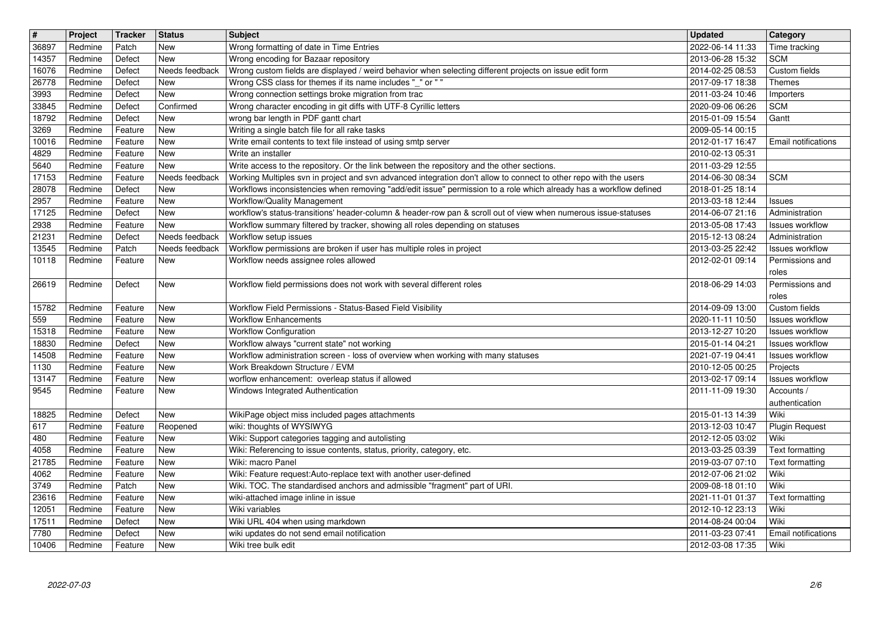| $\overline{\boldsymbol{H}}$ | Project            | Tracker            | <b>Status</b>         | <b>Subject</b>                                                                                                                                    | <b>Updated</b>                       | Category                                  |
|-----------------------------|--------------------|--------------------|-----------------------|---------------------------------------------------------------------------------------------------------------------------------------------------|--------------------------------------|-------------------------------------------|
| 36897<br>14357              | Redmine<br>Redmine | Patch<br>Defect    | New<br>New            | Wrong formatting of date in Time Entries<br>Wrong encoding for Bazaar repository                                                                  | 2022-06-14 11:33<br>2013-06-28 15:32 | Time tracking<br><b>SCM</b>               |
| 16076                       | Redmine            | Defect             | Needs feedback        | Wrong custom fields are displayed / weird behavior when selecting different projects on issue edit form                                           | 2014-02-25 08:53                     | Custom fields                             |
| 26778                       | Redmine            | Defect             | New                   | Wrong CSS class for themes if its name includes "_" or ""                                                                                         | 2017-09-17 18:38                     | Themes                                    |
| 3993<br>33845               | Redmine<br>Redmine | Defect<br>Defect   | New<br>Confirmed      | Wrong connection settings broke migration from trac<br>Wrong character encoding in git diffs with UTF-8 Cyrillic letters                          | 2011-03-24 10:46<br>2020-09-06 06:26 | Importers<br><b>SCM</b>                   |
| 18792                       | Redmine            | Defect             | New                   | wrong bar length in PDF gantt chart                                                                                                               | 2015-01-09 15:54                     | Gantt                                     |
| 3269                        | Redmine            | Feature            | New                   | Writing a single batch file for all rake tasks                                                                                                    | 2009-05-14 00:15                     |                                           |
| 10016<br>4829               | Redmine<br>Redmine | Feature<br>Feature | New<br>New            | Write email contents to text file instead of using smtp server<br>Write an installer                                                              | 2012-01-17 16:47<br>2010-02-13 05:31 | Email notifications                       |
| 5640                        | Redmine            | Feature            | New                   | Write access to the repository. Or the link between the repository and the other sections.                                                        | 2011-03-29 12:55                     |                                           |
| 17153                       | Redmine            | Feature            | Needs feedback        | Working Multiples svn in project and svn advanced integration don't allow to connect to other repo with the users                                 | 2014-06-30 08:34                     | <b>SCM</b>                                |
| 28078<br>2957               | Redmine<br>Redmine | Defect<br>Feature  | New<br>New            | Workflows inconsistencies when removing "add/edit issue" permission to a role which already has a workflow defined<br>Workflow/Quality Management | 2018-01-25 18:14<br>2013-03-18 12:44 | Issues                                    |
| 17125                       | Redmine            | Defect             | New                   | workflow's status-transitions' header-column & header-row pan & scroll out of view when numerous issue-statuses                                   | 2014-06-07 21:16                     | Administration                            |
| 2938<br>21231               | Redmine<br>Redmine | Feature<br>Defect  | New<br>Needs feedback | Workflow summary filtered by tracker, showing all roles depending on statuses<br>Workflow setup issues                                            | 2013-05-08 17:43<br>2015-12-13 08:24 | Issues workflow<br>Administration         |
| 13545                       | Redmine            | Patch              | Needs feedback        | Workflow permissions are broken if user has multiple roles in project                                                                             | 2013-03-25 22:42                     | Issues workflow                           |
| 10118                       | Redmine            | Feature            | New                   | Workflow needs assignee roles allowed                                                                                                             | 2012-02-01 09:14                     | Permissions and                           |
| 26619                       | Redmine            | Defect             | New                   | Workflow field permissions does not work with several different roles                                                                             | 2018-06-29 14:03                     | roles<br>Permissions and                  |
|                             |                    |                    |                       |                                                                                                                                                   |                                      | roles                                     |
| 15782                       | Redmine            | Feature            | New                   | Workflow Field Permissions - Status-Based Field Visibility                                                                                        | 2014-09-09 13:00                     | Custom fields                             |
| 559<br>15318                | Redmine<br>Redmine | Feature<br>Feature | New<br>New            | <b>Workflow Enhancements</b><br><b>Workflow Configuration</b>                                                                                     | 2020-11-11 10:50<br>2013-12-27 10:20 | <b>Issues workflow</b><br>Issues workflow |
| 18830                       | Redmine            | Defect             | New                   | Workflow always "current state" not working                                                                                                       | 2015-01-14 04:21                     | <b>Issues workflow</b>                    |
| 14508<br>1130               | Redmine<br>Redmine | Feature<br>Feature | New<br>New            | Workflow administration screen - loss of overview when working with many statuses<br>Work Breakdown Structure / EVM                               | 2021-07-19 04:41<br>2010-12-05 00:25 | Issues workflow<br>Projects               |
| 13147                       | Redmine            | Feature            | New                   | worflow enhancement: overleap status if allowed                                                                                                   | 2013-02-17 09:14                     | Issues workflow                           |
| 9545                        | Redmine            | Feature            | New                   | Windows Integrated Authentication                                                                                                                 | 2011-11-09 19:30                     | Accounts /                                |
| 18825                       | Redmine            | Defect             | New                   | WikiPage object miss included pages attachments                                                                                                   | 2015-01-13 14:39                     | authentication<br>Wiki                    |
| 617                         | Redmine            | Feature            | Reopened              | wiki: thoughts of WYSIWYG                                                                                                                         | 2013-12-03 10:47                     | <b>Plugin Request</b>                     |
| 480                         | Redmine            | Feature            | New                   | Wiki: Support categories tagging and autolisting                                                                                                  | 2012-12-05 03:02                     | Wiki                                      |
| 4058<br>21785               | Redmine<br>Redmine | Feature<br>Feature | New<br>New            | Wiki: Referencing to issue contents, status, priority, category, etc.<br>Wiki: macro Panel                                                        | 2013-03-25 03:39<br>2019-03-07 07:10 | Text formatting<br>Text formatting        |
| 4062                        | Redmine            | Feature            | New                   | Wiki: Feature request:Auto-replace text with another user-defined                                                                                 | 2012-07-06 21:02                     | Wiki                                      |
| 3749                        | Redmine            | Patch              | New                   | Wiki. TOC. The standardised anchors and admissible "fragment" part of URI.                                                                        | 2009-08-18 01:10                     | Wiki                                      |
| 23616<br>12051              | Redmine<br>Redmine | Feature<br>Feature | New<br>New            | wiki-attached image inline in issue<br>Wiki variables                                                                                             | 2021-11-01 01:37<br>2012-10-12 23:13 | Text formatting<br>Wiki                   |
| 17511                       | Redmine            | Defect             | New                   | Wiki URL 404 when using markdown                                                                                                                  | 2014-08-24 00:04                     | Wiki                                      |
| 7780<br>10406               | Redmine<br>Redmine | Defect<br>Feature  | New<br>New            | wiki updates do not send email notification<br>Wiki tree bulk edit                                                                                | 2011-03-23 07:41<br>2012-03-08 17:35 | <b>Email notifications</b><br>Wiki        |
|                             |                    |                    |                       |                                                                                                                                                   |                                      |                                           |
|                             |                    |                    |                       |                                                                                                                                                   |                                      |                                           |
|                             |                    |                    |                       |                                                                                                                                                   |                                      |                                           |
|                             |                    |                    |                       |                                                                                                                                                   |                                      |                                           |
|                             |                    |                    |                       |                                                                                                                                                   |                                      |                                           |
|                             |                    |                    |                       |                                                                                                                                                   |                                      |                                           |
|                             |                    |                    |                       |                                                                                                                                                   |                                      |                                           |
|                             |                    |                    |                       |                                                                                                                                                   |                                      |                                           |
|                             |                    |                    |                       |                                                                                                                                                   |                                      |                                           |
|                             |                    |                    |                       |                                                                                                                                                   |                                      |                                           |
|                             |                    |                    |                       |                                                                                                                                                   |                                      |                                           |
|                             |                    |                    |                       |                                                                                                                                                   |                                      |                                           |
|                             |                    |                    |                       |                                                                                                                                                   |                                      |                                           |
|                             |                    |                    |                       |                                                                                                                                                   |                                      |                                           |
|                             |                    |                    |                       |                                                                                                                                                   |                                      |                                           |
|                             |                    |                    |                       |                                                                                                                                                   |                                      |                                           |
|                             |                    |                    |                       |                                                                                                                                                   |                                      |                                           |
|                             |                    |                    |                       |                                                                                                                                                   |                                      |                                           |
|                             |                    |                    |                       |                                                                                                                                                   |                                      |                                           |
|                             |                    |                    |                       |                                                                                                                                                   |                                      |                                           |
|                             |                    |                    |                       |                                                                                                                                                   |                                      |                                           |
|                             |                    |                    |                       |                                                                                                                                                   |                                      |                                           |
|                             |                    |                    |                       |                                                                                                                                                   |                                      |                                           |
|                             |                    |                    |                       |                                                                                                                                                   |                                      |                                           |
|                             |                    |                    |                       |                                                                                                                                                   |                                      |                                           |
|                             |                    |                    |                       |                                                                                                                                                   |                                      |                                           |
|                             |                    |                    |                       |                                                                                                                                                   |                                      |                                           |
|                             |                    |                    |                       |                                                                                                                                                   |                                      |                                           |
|                             |                    |                    |                       |                                                                                                                                                   |                                      |                                           |
|                             |                    |                    |                       |                                                                                                                                                   |                                      |                                           |
|                             |                    |                    |                       |                                                                                                                                                   |                                      |                                           |
|                             |                    |                    |                       |                                                                                                                                                   |                                      |                                           |
|                             |                    |                    |                       |                                                                                                                                                   |                                      |                                           |
|                             |                    |                    |                       |                                                                                                                                                   |                                      |                                           |
|                             |                    |                    |                       |                                                                                                                                                   |                                      |                                           |
|                             |                    |                    |                       |                                                                                                                                                   |                                      |                                           |
|                             |                    |                    |                       |                                                                                                                                                   |                                      |                                           |
|                             |                    |                    |                       |                                                                                                                                                   |                                      |                                           |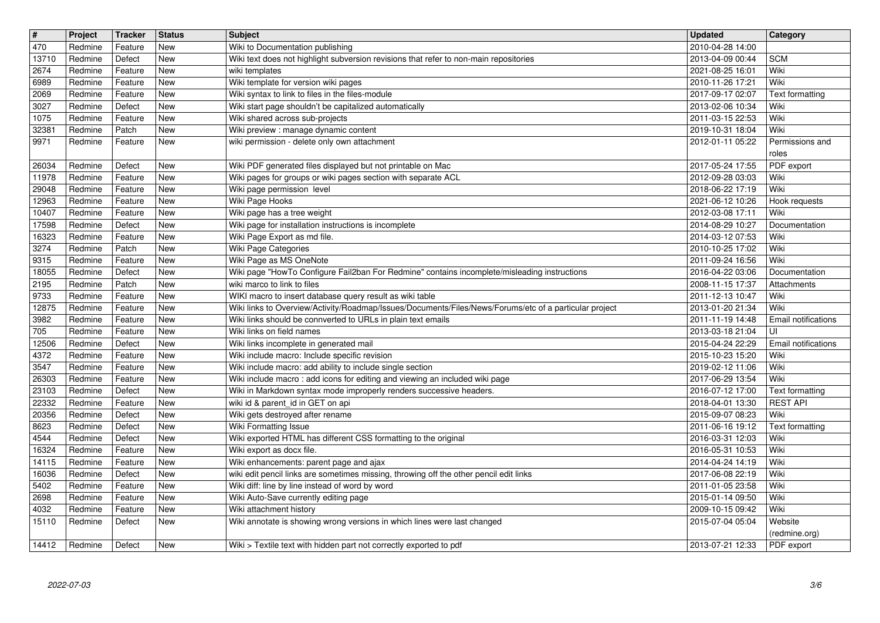| $\overline{\mathbf{t}}$ | Project            | Tracker           | <b>Status</b>            | Subject                                                                                                                           | <b>Updated</b>                       | Category                    |
|-------------------------|--------------------|-------------------|--------------------------|-----------------------------------------------------------------------------------------------------------------------------------|--------------------------------------|-----------------------------|
| $\sqrt{470}$            | Redmine            | Feature           | New                      | Wiki to Documentation publishing                                                                                                  | 2010-04-28 14:00                     |                             |
| 13710<br>2674           | Redmine<br>Redmine | Defect<br>Feature | <b>New</b><br>New        | Wiki text does not highlight subversion revisions that refer to non-main repositories<br>wiki templates                           | 2013-04-09 00:44<br>2021-08-25 16:01 | <b>SCM</b><br>Wiki          |
| 6989                    | Redmine            | Feature           | New                      | Wiki template for version wiki pages                                                                                              | 2010-11-26 17:21                     | Wiki                        |
| 2069                    | Redmine            | Feature           | New                      | Wiki syntax to link to files in the files-module                                                                                  | 2017-09-17 02:07                     | Text formatting             |
| 3027                    | Redmine            | Defect            | <b>New</b>               | Wiki start page shouldn't be capitalized automatically                                                                            | 2013-02-06 10:34                     | Wiki                        |
| 1075<br>32381           | Redmine<br>Redmine | Feature<br>Patch  | <b>New</b><br>New        | Wiki shared across sub-projects<br>Wiki preview : manage dynamic content                                                          | 2011-03-15 22:53<br>2019-10-31 18:04 | Wiki<br>Wiki                |
| 9971                    | Redmine            | Feature           | <b>New</b>               | wiki permission - delete only own attachment                                                                                      | 2012-01-11 05:22                     | Permissions and             |
|                         |                    |                   |                          |                                                                                                                                   |                                      | roles                       |
| 26034<br>11978          | Redmine<br>Redmine | Defect<br>Feature | <b>New</b><br>New        | Wiki PDF generated files displayed but not printable on Mac<br>Wiki pages for groups or wiki pages section with separate ACL      | 2017-05-24 17:55<br>2012-09-28 03:03 | PDF export<br>Wiki          |
| 29048                   | Redmine            | Feature           | New                      | Wiki page permission level                                                                                                        | 2018-06-22 17:19                     | Wiki                        |
| 12963                   | Redmine            | Feature           | New                      | Wiki Page Hooks                                                                                                                   | 2021-06-12 10:26                     | Hook requests               |
| 10407                   | Redmine            | Feature           | <b>New</b>               | Wiki page has a tree weight                                                                                                       | 2012-03-08 17:11                     | Wiki                        |
| 17598<br>16323          | Redmine<br>Redmine | Defect<br>Feature | New<br>New               | Wiki page for installation instructions is incomplete<br>Wiki Page Export as md file.                                             | 2014-08-29 10:27<br>2014-03-12 07:53 | Documentation<br>Wiki       |
| 3274                    | Redmine            | Patch             | New                      | Wiki Page Categories                                                                                                              | 2010-10-25 17:02                     | Wiki                        |
| 9315                    | Redmine            | Feature           | New                      | Wiki Page as MS OneNote                                                                                                           | 2011-09-24 16:56                     | Wiki                        |
| 18055                   | Redmine            | Defect            | <b>New</b>               | Wiki page "HowTo Configure Fail2ban For Redmine" contains incomplete/misleading instructions                                      | 2016-04-22 03:06                     | Documentation               |
| 2195<br>9733            | Redmine<br>Redmine | Patch<br>Feature  | <b>New</b><br>New        | wiki marco to link to files<br>WIKI macro to insert database query result as wiki table                                           | 2008-11-15 17:37<br>2011-12-13 10:47 | Attachments<br>Wiki         |
| 12875                   | Redmine            | Feature           | New                      | Wiki links to Overview/Activity/Roadmap/Issues/Documents/Files/News/Forums/etc of a particular project                            | 2013-01-20 21:34                     | Wiki                        |
| 3982                    | Redmine            | Feature           | New                      | Wiki links should be connverted to URLs in plain text emails                                                                      | 2011-11-19 14:48                     | Email notifications         |
| 705                     | Redmine            | Feature           | New                      | Wiki links on field names                                                                                                         | 2013-03-18 21:04                     | UI                          |
| 12506<br>4372           | Redmine<br>Redmine | Defect<br>Feature | New<br>New               | Wiki links incomplete in generated mail<br>Wiki include macro: Include specific revision                                          | 2015-04-24 22:29<br>2015-10-23 15:20 | Email notifications<br>Wiki |
| 3547                    | Redmine            | Feature           | New                      | Wiki include macro: add ability to include single section                                                                         | 2019-02-12 11:06                     | Wiki                        |
| 26303                   | Redmine            | Feature           | New                      | Wiki include macro: add icons for editing and viewing an included wiki page                                                       | 2017-06-29 13:54                     | Wiki                        |
| 23103                   | Redmine            | Defect            | New                      | Wiki in Markdown syntax mode improperly renders successive headers.                                                               | 2016-07-12 17:00                     | Text formatting             |
| 22332<br>20356          | Redmine<br>Redmine | Feature<br>Defect | <b>New</b><br><b>New</b> | wiki id & parent_id in GET on api<br>Wiki gets destroyed after rename                                                             | 2018-04-01 13:30<br>2015-09-07 08:23 | <b>REST API</b><br>Wiki     |
| 8623                    | Redmine            | Defect            | <b>New</b>               | <b>Wiki Formatting Issue</b>                                                                                                      | 2011-06-16 19:12                     | Text formatting             |
| 4544                    | Redmine            | Defect            | <b>New</b>               | Wiki exported HTML has different CSS formatting to the original                                                                   | 2016-03-31 12:03                     | Wiki                        |
| 16324                   | Redmine            | Feature           | New                      | Wiki export as docx file.                                                                                                         | 2016-05-31 10:53                     | Wiki                        |
| 14115<br>16036          | Redmine<br>Redmine | Feature<br>Defect | New<br><b>New</b>        | Wiki enhancements: parent page and ajax<br>wiki edit pencil links are sometimes missing, throwing off the other pencil edit links | 2014-04-24 14:19<br>2017-06-08 22:19 | Wiki<br>Wiki                |
| 5402                    | Redmine            | Feature           | New                      | Wiki diff: line by line instead of word by word                                                                                   | 2011-01-05 23:58                     | Wiki                        |
| 2698                    | Redmine            | Feature           | New                      | Wiki Auto-Save currently editing page                                                                                             | 2015-01-14 09:50                     | Wiki                        |
| 4032                    | Redmine            | Feature           | New                      | Wiki attachment history                                                                                                           | 2009-10-15 09:42                     | Wiki                        |
| 15110                   | Redmine            | Defect            | New                      | Wiki annotate is showing wrong versions in which lines were last changed                                                          | 2015-07-04 05:04                     | Website<br>(redmine.org)    |
| 14412                   | Redmine            | Defect            | New                      | Wiki > Textile text with hidden part not correctly exported to pdf                                                                | 2013-07-21 12:33                     | PDF export                  |
|                         |                    |                   |                          |                                                                                                                                   |                                      |                             |
|                         |                    |                   |                          |                                                                                                                                   |                                      |                             |
|                         |                    |                   |                          |                                                                                                                                   |                                      |                             |
|                         |                    |                   |                          |                                                                                                                                   |                                      |                             |
|                         |                    |                   |                          |                                                                                                                                   |                                      |                             |
|                         |                    |                   |                          |                                                                                                                                   |                                      |                             |
|                         |                    |                   |                          |                                                                                                                                   |                                      |                             |
|                         |                    |                   |                          |                                                                                                                                   |                                      |                             |
|                         |                    |                   |                          |                                                                                                                                   |                                      |                             |
|                         |                    |                   |                          |                                                                                                                                   |                                      |                             |
|                         |                    |                   |                          |                                                                                                                                   |                                      |                             |
|                         |                    |                   |                          |                                                                                                                                   |                                      |                             |
|                         |                    |                   |                          |                                                                                                                                   |                                      |                             |
|                         |                    |                   |                          |                                                                                                                                   |                                      |                             |
|                         |                    |                   |                          |                                                                                                                                   |                                      |                             |
|                         |                    |                   |                          |                                                                                                                                   |                                      |                             |
|                         |                    |                   |                          |                                                                                                                                   |                                      |                             |
|                         |                    |                   |                          |                                                                                                                                   |                                      |                             |
|                         |                    |                   |                          |                                                                                                                                   |                                      |                             |
|                         |                    |                   |                          |                                                                                                                                   |                                      |                             |
|                         |                    |                   |                          |                                                                                                                                   |                                      |                             |
|                         |                    |                   |                          |                                                                                                                                   |                                      |                             |
|                         |                    |                   |                          |                                                                                                                                   |                                      |                             |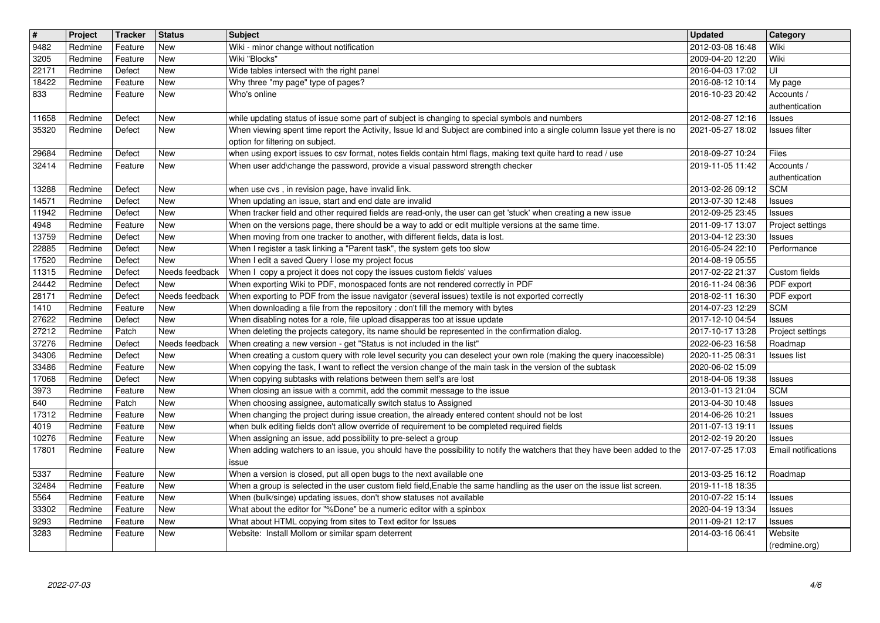| $\overline{\mathbf{H}}$ | Project            | Tracker            | <b>Status</b>         | <b>Subject</b>                                                                                                                                                                                                              | <b>Updated</b>                       | <b>Category</b>                   |
|-------------------------|--------------------|--------------------|-----------------------|-----------------------------------------------------------------------------------------------------------------------------------------------------------------------------------------------------------------------------|--------------------------------------|-----------------------------------|
| 9482                    | Redmine            | Feature            | New                   | Wiki - minor change without notification                                                                                                                                                                                    | 2012-03-08 16:48                     | Wiki                              |
| 3205<br>22171           | Redmine<br>Redmine | Feature<br>Defect  | New<br>New            | Wiki "Blocks"<br>Wide tables intersect with the right panel                                                                                                                                                                 | 2009-04-20 12:20<br>2016-04-03 17:02 | Wiki<br>UI                        |
| 18422                   | Redmine            | Feature            | New                   | Why three "my page" type of pages?                                                                                                                                                                                          | 2016-08-12 10:14                     | My page                           |
| 833                     | Redmine            | Feature            | New                   | Who's online                                                                                                                                                                                                                | 2016-10-23 20:42                     | Accounts /                        |
|                         |                    |                    |                       |                                                                                                                                                                                                                             |                                      | authentication                    |
| 11658<br>35320          | Redmine<br>Redmine | Defect<br>Defect   | New<br>New            | while updating status of issue some part of subject is changing to special symbols and numbers<br>When viewing spent time report the Activity, Issue Id and Subject are combined into a single column Issue yet there is no | 2012-08-27 12:16<br>2021-05-27 18:02 | Issues<br>Issues filter           |
|                         |                    |                    |                       | option for filtering on subject.                                                                                                                                                                                            |                                      |                                   |
| 29684                   | Redmine            | Defect             | New                   | when using export issues to csv format, notes fields contain html flags, making text quite hard to read / use                                                                                                               | 2018-09-27 10:24                     | Files                             |
| 32414                   | Redmine            | Feature            | New                   | When user add\change the password, provide a visual password strength checker                                                                                                                                               | 2019-11-05 11:42                     | Accounts /<br>authentication      |
| 13288                   | Redmine            | Defect             | New                   | when use cvs, in revision page, have invalid link.                                                                                                                                                                          | 2013-02-26 09:12                     | <b>SCM</b>                        |
| 14571                   | Redmine            | Defect             | New                   | When updating an issue, start and end date are invalid                                                                                                                                                                      | 2013-07-30 12:48                     | Issues                            |
| 11942                   | Redmine            | Defect             | New                   | When tracker field and other required fields are read-only, the user can get 'stuck' when creating a new issue                                                                                                              | 2012-09-25 23:45                     | <b>Issues</b>                     |
| 4948<br>13759           | Redmine<br>Redmine | Feature<br>Defect  | New<br>New            | When on the versions page, there should be a way to add or edit multiple versions at the same time.<br>When moving from one tracker to another, with different fields, data is lost.                                        | 2011-09-17 13:07<br>2013-04-12 23:30 | Project settings<br>Issues        |
| 22885                   | Redmine            | Defect             | New                   | When I register a task linking a "Parent task", the system gets too slow                                                                                                                                                    | 2016-05-24 22:10                     | Performance                       |
| 17520                   | Redmine            | Defect             | New                   | When I edit a saved Query I lose my project focus                                                                                                                                                                           | 2014-08-19 05:55                     |                                   |
| 11315<br>24442          | Redmine<br>Redmine | Defect<br>Defect   | Needs feedback<br>New | When I copy a project it does not copy the issues custom fields' values<br>When exporting Wiki to PDF, monospaced fonts are not rendered correctly in PDF                                                                   | 2017-02-22 21:37<br>2016-11-24 08:36 | Custom fields<br>PDF export       |
| 28171                   | Redmine            | Defect             | Needs feedback        | When exporting to PDF from the issue navigator (several issues) textile is not exported correctly                                                                                                                           | 2018-02-11 16:30                     | PDF export                        |
| 1410                    | Redmine            | Feature            | New                   | When downloading a file from the repository : don't fill the memory with bytes                                                                                                                                              | 2014-07-23 12:29                     | <b>SCM</b>                        |
| 27622<br>27212          | Redmine<br>Redmine | Defect<br>Patch    | New<br><b>New</b>     | When disabling notes for a role, file upload disapperas too at issue update<br>When deleting the projects category, its name should be represented in the confirmation dialog.                                              | 2017-12-10 04:54<br>2017-10-17 13:28 | <b>Issues</b><br>Project settings |
| 37276                   | Redmine            | Defect             | Needs feedback        | When creating a new version - get "Status is not included in the list"                                                                                                                                                      | 2022-06-23 16:58                     | Roadmap                           |
| 34306                   | Redmine            | Defect             | New                   | When creating a custom query with role level security you can deselect your own role (making the query inaccessible)                                                                                                        | 2020-11-25 08:31                     | Issues list                       |
| 33486                   | Redmine            | Feature            | New                   | When copying the task, I want to reflect the version change of the main task in the version of the subtask                                                                                                                  | 2020-06-02 15:09                     |                                   |
| 17068<br>3973           | Redmine<br>Redmine | Defect<br>Feature  | New<br>New            | When copying subtasks with relations between them self's are lost<br>When closing an issue with a commit, add the commit message to the issue                                                                               | 2018-04-06 19:38<br>2013-01-13 21:04 | <b>Issues</b><br><b>SCM</b>       |
| 640                     | Redmine            | Patch              | New                   | When choosing assignee, automatically switch status to Assigned                                                                                                                                                             | 2013-04-30 10:48                     | <b>Issues</b>                     |
| 17312                   | Redmine            | Feature            | New                   | When changing the project during issue creation, the already entered content should not be lost                                                                                                                             | 2014-06-26 10:21                     | <b>Issues</b>                     |
| 4019<br>10276           | Redmine<br>Redmine | Feature<br>Feature | New<br>New            | when bulk editing fields don't allow override of requirement to be completed required fields<br>When assigning an issue, add possibility to pre-select a group                                                              | 2011-07-13 19:11<br>2012-02-19 20:20 | <b>Issues</b><br>Issues           |
| 17801                   | Redmine            | Feature            | New                   | When adding watchers to an issue, you should have the possibility to notify the watchers that they have been added to the                                                                                                   | 2017-07-25 17:03                     | Email notifications               |
|                         |                    |                    |                       | issue                                                                                                                                                                                                                       |                                      |                                   |
| 5337<br>32484           | Redmine<br>Redmine | Feature<br>Feature | New<br>New            | When a version is closed, put all open bugs to the next available one<br>When a group is selected in the user custom field field, Enable the same handling as the user on the issue list screen.                            | 2013-03-25 16:12<br>2019-11-18 18:35 | Roadmap                           |
| $\boxed{5564}$          | Redmine            | Feature            | New                   | When (bulk/singe) updating issues, don't show statuses not available                                                                                                                                                        | 2010-07-22 15:14                     | Issues                            |
| 33302<br>9293           | Redmine<br>Redmine | Feature<br>Feature | New<br>New            | What about the editor for "%Done" be a numeric editor with a spinbox<br>What about HTML copying from sites to Text editor for Issues                                                                                        | 2020-04-19 13:34<br>2011-09-21 12:17 | <b>Issues</b><br>Issues           |
| 3283                    | Redmine            | Feature            | New                   | Website: Install Mollom or similar spam deterrent                                                                                                                                                                           | 2014-03-16 06:41                     | Website                           |
|                         |                    |                    |                       |                                                                                                                                                                                                                             |                                      |                                   |
|                         |                    |                    |                       |                                                                                                                                                                                                                             |                                      |                                   |
|                         |                    |                    |                       |                                                                                                                                                                                                                             |                                      |                                   |
|                         |                    |                    |                       |                                                                                                                                                                                                                             |                                      |                                   |
|                         |                    |                    |                       |                                                                                                                                                                                                                             |                                      |                                   |
|                         |                    |                    |                       |                                                                                                                                                                                                                             |                                      |                                   |
|                         |                    |                    |                       |                                                                                                                                                                                                                             |                                      |                                   |
|                         |                    |                    |                       |                                                                                                                                                                                                                             |                                      |                                   |
|                         |                    |                    |                       |                                                                                                                                                                                                                             |                                      |                                   |
|                         |                    |                    |                       |                                                                                                                                                                                                                             |                                      |                                   |
|                         |                    |                    |                       |                                                                                                                                                                                                                             |                                      |                                   |
|                         |                    |                    |                       |                                                                                                                                                                                                                             |                                      |                                   |
|                         |                    |                    |                       |                                                                                                                                                                                                                             |                                      |                                   |
|                         |                    |                    |                       |                                                                                                                                                                                                                             |                                      |                                   |
|                         |                    |                    |                       |                                                                                                                                                                                                                             |                                      |                                   |
|                         |                    |                    |                       |                                                                                                                                                                                                                             |                                      |                                   |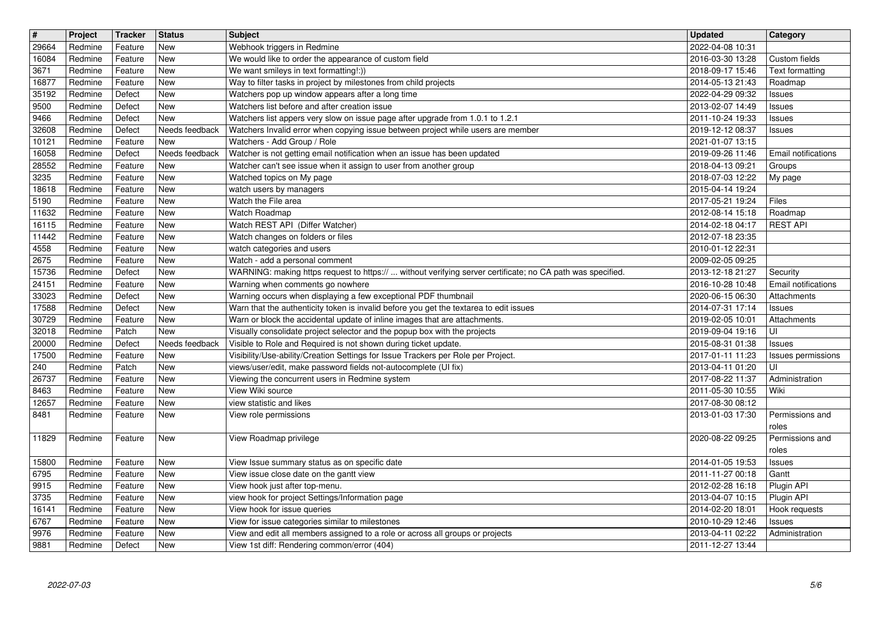| 2022-04-08 10:31<br>New<br>Webhook triggers in Redmine<br>Redmine<br>Feature<br>Redmine<br>Feature<br>New<br>We would like to order the appearance of custom field<br>2016-03-30 13:28<br>Custom fields<br>New<br>We want smileys in text formatting!:))<br>2018-09-17 15:46<br>Text formatting<br>3671<br>Redmine<br>Feature<br>Way to filter tasks in project by milestones from child projects<br>16877<br>Redmine<br>Feature<br>New<br>2014-05-13 21:43<br>Roadmap<br>Redmine<br>Defect<br>New<br>Watchers pop up window appears after a long time<br>2022-04-29 09:32<br>Issues<br>Watchers list before and after creation issue<br>Redmine<br>Defect<br><b>New</b><br>2013-02-07 14:49<br>Issues<br>Redmine<br>New<br>Watchers list appers very slow on issue page after upgrade from 1.0.1 to 1.2.1<br>9466<br>Defect<br>2011-10-24 19:33<br>Issues<br>32608<br>Watchers Invalid error when copying issue between project while users are member<br>Redmine<br>Defect<br>Needs feedback<br>2019-12-12 08:37<br>Issues<br>Watchers - Add Group / Role<br>Feature<br><b>New</b><br>10121<br>Redmine<br>2021-01-07 13:15<br>Needs feedback<br>Watcher is not getting email notification when an issue has been updated<br>Redmine<br>Defect<br>2019-09-26 11:46<br>Email notifications<br>Redmine<br>Feature<br>New<br>Watcher can't see issue when it assign to user from another group<br>2018-04-13 09:21<br>Groups<br>New<br>Watched topics on My page<br>2018-07-03 12:22<br>3235<br>Redmine<br>Feature<br>My page<br>18618<br>Redmine<br>New<br>2015-04-14 19:24<br>Feature<br>watch users by managers<br>Watch the File area<br>5190<br>Feature<br>New<br>2017-05-21 19:24<br>Files<br>Redmine<br>Redmine<br><b>New</b><br>Watch Roadmap<br>2012-08-14 15:18<br>Feature<br>Roadmap<br><b>REST API</b><br>Watch REST API (Differ Watcher)<br>Redmine<br>Feature<br>New<br>2014-02-18 04:17<br>New<br>Watch changes on folders or files<br>Redmine<br>Feature<br>2012-07-18 23:35<br>4558<br>New<br>watch categories and users<br>Redmine<br>Feature<br>2010-01-12 22:31<br>2675<br>Feature<br>New<br>Watch - add a personal comment<br>2009-02-05 09:25<br>Redmine<br>15736<br>WARNING: making https request to https://  without verifying server certificate; no CA path was specified.<br>Redmine<br>Defect<br>New<br>2013-12-18 21:27<br>Security<br>Redmine<br><b>New</b><br>Warning when comments go nowhere<br>2016-10-28 10:48<br>Email notifications<br>Feature<br>Warning occurs when displaying a few exceptional PDF thumbnail<br>Redmine<br>Defect<br><b>New</b><br>2020-06-15 06:30<br>Attachments<br>17588<br>Redmine<br>Defect<br><b>New</b><br>Warn that the authenticity token is invalid before you get the textarea to edit issues<br>2014-07-31 17:14<br><b>Issues</b><br>30729<br>Redmine<br><b>New</b><br>Warn or block the accidental update of inline images that are attachments.<br>2019-02-05 10:01<br>Feature<br>Attachments<br>32018<br>Patch<br>New<br>Visually consolidate project selector and the popup box with the projects<br>2019-09-04 19:16<br>UI<br>Redmine<br>Visible to Role and Required is not shown during ticket update.<br>20000<br>Redmine<br>Defect<br>Needs feedback<br>2015-08-31 01:38<br>Issues<br>Visibility/Use-ability/Creation Settings for Issue Trackers per Role per Project.<br>New<br>Redmine<br>Feature<br>2017-01-11 11:23<br>Issues permissions<br>views/user/edit, make password fields not-autocomplete (UI fix)<br>Patch<br>New<br>UI<br>Redmine<br>2013-04-11 01:20<br>26737<br><b>New</b><br>Viewing the concurrent users in Redmine system<br>2017-08-22 11:37<br>Redmine<br>Feature<br>Administration<br>New<br>View Wiki source<br>2011-05-30 10:55<br>8463<br>Redmine<br>Feature<br>Wiki<br>12657<br>New<br>2017-08-30 08:12<br>Redmine<br>Feature<br>view statistic and likes<br>Redmine<br>Feature<br>New<br>View role permissions<br>2013-01-03 17:30<br>Permissions and<br>roles<br>View Roadmap privilege<br>Redmine<br>Feature<br><b>New</b><br>2020-08-22 09:25<br>Permissions and<br>roles<br>15800<br>Redmine<br>Feature<br><b>New</b><br>View Issue summary status as on specific date<br>2014-01-05 19:53<br>Issues<br><b>New</b><br>View issue close date on the gantt view<br>2011-11-27 00:18<br>Redmine<br>Feature<br>Gantt<br>New<br>View hook just after top-menu.<br>2012-02-28 16:18<br>Redmine<br>Feature<br>Plugin API<br>Redmine<br>New<br>Feature<br>view hook for project Settings/Information page<br>2013-04-07 10:15 Plugin API<br>16141<br><b>New</b><br>2014-02-20 18:01<br>Redmine<br>Feature<br>View hook for issue queries<br>Hook requests<br>6767<br>View for issue categories similar to milestones<br>Redmine<br>Feature<br>New<br>2010-10-29 12:46<br>Issues<br>View and edit all members assigned to a role or across all groups or projects<br>9976<br>Redmine<br>Feature<br>New<br>2013-04-11 02:22<br>Administration<br>View 1st diff: Rendering common/error (404)<br>Defect<br>2011-12-27 13:44<br>Redmine<br>New<br>5/6<br>2022-07-03 | 29664<br>16084 | Project | <b>Tracker</b> | Status | Subject | <b>Updated</b> | <b>Category</b> |
|------------------------------------------------------------------------------------------------------------------------------------------------------------------------------------------------------------------------------------------------------------------------------------------------------------------------------------------------------------------------------------------------------------------------------------------------------------------------------------------------------------------------------------------------------------------------------------------------------------------------------------------------------------------------------------------------------------------------------------------------------------------------------------------------------------------------------------------------------------------------------------------------------------------------------------------------------------------------------------------------------------------------------------------------------------------------------------------------------------------------------------------------------------------------------------------------------------------------------------------------------------------------------------------------------------------------------------------------------------------------------------------------------------------------------------------------------------------------------------------------------------------------------------------------------------------------------------------------------------------------------------------------------------------------------------------------------------------------------------------------------------------------------------------------------------------------------------------------------------------------------------------------------------------------------------------------------------------------------------------------------------------------------------------------------------------------------------------------------------------------------------------------------------------------------------------------------------------------------------------------------------------------------------------------------------------------------------------------------------------------------------------------------------------------------------------------------------------------------------------------------------------------------------------------------------------------------------------------------------------------------------------------------------------------------------------------------------------------------------------------------------------------------------------------------------------------------------------------------------------------------------------------------------------------------------------------------------------------------------------------------------------------------------------------------------------------------------------------------------------------------------------------------------------------------------------------------------------------------------------------------------------------------------------------------------------------------------------------------------------------------------------------------------------------------------------------------------------------------------------------------------------------------------------------------------------------------------------------------------------------------------------------------------------------------------------------------------------------------------------------------------------------------------------------------------------------------------------------------------------------------------------------------------------------------------------------------------------------------------------------------------------------------------------------------------------------------------------------------------------------------------------------------------------------------------------------------------------------------------------------------------------------------------------------------------------------------------------------------------------------------------------------------------------------------------------------------------------------------------------------------------------------------------------------------------------------------------------------------------------------------------------------------------------------------------------------------------------------------------------------------------------------------------------------------------------------------------------------------------------------------------------------------------------------------------------------------------------------------------------------------------------------------------------------------------------------|----------------|---------|----------------|--------|---------|----------------|-----------------|
|                                                                                                                                                                                                                                                                                                                                                                                                                                                                                                                                                                                                                                                                                                                                                                                                                                                                                                                                                                                                                                                                                                                                                                                                                                                                                                                                                                                                                                                                                                                                                                                                                                                                                                                                                                                                                                                                                                                                                                                                                                                                                                                                                                                                                                                                                                                                                                                                                                                                                                                                                                                                                                                                                                                                                                                                                                                                                                                                                                                                                                                                                                                                                                                                                                                                                                                                                                                                                                                                                                                                                                                                                                                                                                                                                                                                                                                                                                                                                                                                                                                                                                                                                                                                                                                                                                                                                                                                                                                                                                                                                                                                                                                                                                                                                                                                                                                                                                                                                                                                                                                                        |                |         |                |        |         |                |                 |
|                                                                                                                                                                                                                                                                                                                                                                                                                                                                                                                                                                                                                                                                                                                                                                                                                                                                                                                                                                                                                                                                                                                                                                                                                                                                                                                                                                                                                                                                                                                                                                                                                                                                                                                                                                                                                                                                                                                                                                                                                                                                                                                                                                                                                                                                                                                                                                                                                                                                                                                                                                                                                                                                                                                                                                                                                                                                                                                                                                                                                                                                                                                                                                                                                                                                                                                                                                                                                                                                                                                                                                                                                                                                                                                                                                                                                                                                                                                                                                                                                                                                                                                                                                                                                                                                                                                                                                                                                                                                                                                                                                                                                                                                                                                                                                                                                                                                                                                                                                                                                                                                        |                |         |                |        |         |                |                 |
|                                                                                                                                                                                                                                                                                                                                                                                                                                                                                                                                                                                                                                                                                                                                                                                                                                                                                                                                                                                                                                                                                                                                                                                                                                                                                                                                                                                                                                                                                                                                                                                                                                                                                                                                                                                                                                                                                                                                                                                                                                                                                                                                                                                                                                                                                                                                                                                                                                                                                                                                                                                                                                                                                                                                                                                                                                                                                                                                                                                                                                                                                                                                                                                                                                                                                                                                                                                                                                                                                                                                                                                                                                                                                                                                                                                                                                                                                                                                                                                                                                                                                                                                                                                                                                                                                                                                                                                                                                                                                                                                                                                                                                                                                                                                                                                                                                                                                                                                                                                                                                                                        |                |         |                |        |         |                |                 |
|                                                                                                                                                                                                                                                                                                                                                                                                                                                                                                                                                                                                                                                                                                                                                                                                                                                                                                                                                                                                                                                                                                                                                                                                                                                                                                                                                                                                                                                                                                                                                                                                                                                                                                                                                                                                                                                                                                                                                                                                                                                                                                                                                                                                                                                                                                                                                                                                                                                                                                                                                                                                                                                                                                                                                                                                                                                                                                                                                                                                                                                                                                                                                                                                                                                                                                                                                                                                                                                                                                                                                                                                                                                                                                                                                                                                                                                                                                                                                                                                                                                                                                                                                                                                                                                                                                                                                                                                                                                                                                                                                                                                                                                                                                                                                                                                                                                                                                                                                                                                                                                                        | 35192          |         |                |        |         |                |                 |
|                                                                                                                                                                                                                                                                                                                                                                                                                                                                                                                                                                                                                                                                                                                                                                                                                                                                                                                                                                                                                                                                                                                                                                                                                                                                                                                                                                                                                                                                                                                                                                                                                                                                                                                                                                                                                                                                                                                                                                                                                                                                                                                                                                                                                                                                                                                                                                                                                                                                                                                                                                                                                                                                                                                                                                                                                                                                                                                                                                                                                                                                                                                                                                                                                                                                                                                                                                                                                                                                                                                                                                                                                                                                                                                                                                                                                                                                                                                                                                                                                                                                                                                                                                                                                                                                                                                                                                                                                                                                                                                                                                                                                                                                                                                                                                                                                                                                                                                                                                                                                                                                        | 9500           |         |                |        |         |                |                 |
|                                                                                                                                                                                                                                                                                                                                                                                                                                                                                                                                                                                                                                                                                                                                                                                                                                                                                                                                                                                                                                                                                                                                                                                                                                                                                                                                                                                                                                                                                                                                                                                                                                                                                                                                                                                                                                                                                                                                                                                                                                                                                                                                                                                                                                                                                                                                                                                                                                                                                                                                                                                                                                                                                                                                                                                                                                                                                                                                                                                                                                                                                                                                                                                                                                                                                                                                                                                                                                                                                                                                                                                                                                                                                                                                                                                                                                                                                                                                                                                                                                                                                                                                                                                                                                                                                                                                                                                                                                                                                                                                                                                                                                                                                                                                                                                                                                                                                                                                                                                                                                                                        |                |         |                |        |         |                |                 |
|                                                                                                                                                                                                                                                                                                                                                                                                                                                                                                                                                                                                                                                                                                                                                                                                                                                                                                                                                                                                                                                                                                                                                                                                                                                                                                                                                                                                                                                                                                                                                                                                                                                                                                                                                                                                                                                                                                                                                                                                                                                                                                                                                                                                                                                                                                                                                                                                                                                                                                                                                                                                                                                                                                                                                                                                                                                                                                                                                                                                                                                                                                                                                                                                                                                                                                                                                                                                                                                                                                                                                                                                                                                                                                                                                                                                                                                                                                                                                                                                                                                                                                                                                                                                                                                                                                                                                                                                                                                                                                                                                                                                                                                                                                                                                                                                                                                                                                                                                                                                                                                                        |                |         |                |        |         |                |                 |
|                                                                                                                                                                                                                                                                                                                                                                                                                                                                                                                                                                                                                                                                                                                                                                                                                                                                                                                                                                                                                                                                                                                                                                                                                                                                                                                                                                                                                                                                                                                                                                                                                                                                                                                                                                                                                                                                                                                                                                                                                                                                                                                                                                                                                                                                                                                                                                                                                                                                                                                                                                                                                                                                                                                                                                                                                                                                                                                                                                                                                                                                                                                                                                                                                                                                                                                                                                                                                                                                                                                                                                                                                                                                                                                                                                                                                                                                                                                                                                                                                                                                                                                                                                                                                                                                                                                                                                                                                                                                                                                                                                                                                                                                                                                                                                                                                                                                                                                                                                                                                                                                        | 16058          |         |                |        |         |                |                 |
|                                                                                                                                                                                                                                                                                                                                                                                                                                                                                                                                                                                                                                                                                                                                                                                                                                                                                                                                                                                                                                                                                                                                                                                                                                                                                                                                                                                                                                                                                                                                                                                                                                                                                                                                                                                                                                                                                                                                                                                                                                                                                                                                                                                                                                                                                                                                                                                                                                                                                                                                                                                                                                                                                                                                                                                                                                                                                                                                                                                                                                                                                                                                                                                                                                                                                                                                                                                                                                                                                                                                                                                                                                                                                                                                                                                                                                                                                                                                                                                                                                                                                                                                                                                                                                                                                                                                                                                                                                                                                                                                                                                                                                                                                                                                                                                                                                                                                                                                                                                                                                                                        | 28552          |         |                |        |         |                |                 |
|                                                                                                                                                                                                                                                                                                                                                                                                                                                                                                                                                                                                                                                                                                                                                                                                                                                                                                                                                                                                                                                                                                                                                                                                                                                                                                                                                                                                                                                                                                                                                                                                                                                                                                                                                                                                                                                                                                                                                                                                                                                                                                                                                                                                                                                                                                                                                                                                                                                                                                                                                                                                                                                                                                                                                                                                                                                                                                                                                                                                                                                                                                                                                                                                                                                                                                                                                                                                                                                                                                                                                                                                                                                                                                                                                                                                                                                                                                                                                                                                                                                                                                                                                                                                                                                                                                                                                                                                                                                                                                                                                                                                                                                                                                                                                                                                                                                                                                                                                                                                                                                                        |                |         |                |        |         |                |                 |
|                                                                                                                                                                                                                                                                                                                                                                                                                                                                                                                                                                                                                                                                                                                                                                                                                                                                                                                                                                                                                                                                                                                                                                                                                                                                                                                                                                                                                                                                                                                                                                                                                                                                                                                                                                                                                                                                                                                                                                                                                                                                                                                                                                                                                                                                                                                                                                                                                                                                                                                                                                                                                                                                                                                                                                                                                                                                                                                                                                                                                                                                                                                                                                                                                                                                                                                                                                                                                                                                                                                                                                                                                                                                                                                                                                                                                                                                                                                                                                                                                                                                                                                                                                                                                                                                                                                                                                                                                                                                                                                                                                                                                                                                                                                                                                                                                                                                                                                                                                                                                                                                        |                |         |                |        |         |                |                 |
|                                                                                                                                                                                                                                                                                                                                                                                                                                                                                                                                                                                                                                                                                                                                                                                                                                                                                                                                                                                                                                                                                                                                                                                                                                                                                                                                                                                                                                                                                                                                                                                                                                                                                                                                                                                                                                                                                                                                                                                                                                                                                                                                                                                                                                                                                                                                                                                                                                                                                                                                                                                                                                                                                                                                                                                                                                                                                                                                                                                                                                                                                                                                                                                                                                                                                                                                                                                                                                                                                                                                                                                                                                                                                                                                                                                                                                                                                                                                                                                                                                                                                                                                                                                                                                                                                                                                                                                                                                                                                                                                                                                                                                                                                                                                                                                                                                                                                                                                                                                                                                                                        | 11632          |         |                |        |         |                |                 |
|                                                                                                                                                                                                                                                                                                                                                                                                                                                                                                                                                                                                                                                                                                                                                                                                                                                                                                                                                                                                                                                                                                                                                                                                                                                                                                                                                                                                                                                                                                                                                                                                                                                                                                                                                                                                                                                                                                                                                                                                                                                                                                                                                                                                                                                                                                                                                                                                                                                                                                                                                                                                                                                                                                                                                                                                                                                                                                                                                                                                                                                                                                                                                                                                                                                                                                                                                                                                                                                                                                                                                                                                                                                                                                                                                                                                                                                                                                                                                                                                                                                                                                                                                                                                                                                                                                                                                                                                                                                                                                                                                                                                                                                                                                                                                                                                                                                                                                                                                                                                                                                                        | 16115          |         |                |        |         |                |                 |
|                                                                                                                                                                                                                                                                                                                                                                                                                                                                                                                                                                                                                                                                                                                                                                                                                                                                                                                                                                                                                                                                                                                                                                                                                                                                                                                                                                                                                                                                                                                                                                                                                                                                                                                                                                                                                                                                                                                                                                                                                                                                                                                                                                                                                                                                                                                                                                                                                                                                                                                                                                                                                                                                                                                                                                                                                                                                                                                                                                                                                                                                                                                                                                                                                                                                                                                                                                                                                                                                                                                                                                                                                                                                                                                                                                                                                                                                                                                                                                                                                                                                                                                                                                                                                                                                                                                                                                                                                                                                                                                                                                                                                                                                                                                                                                                                                                                                                                                                                                                                                                                                        | 11442          |         |                |        |         |                |                 |
|                                                                                                                                                                                                                                                                                                                                                                                                                                                                                                                                                                                                                                                                                                                                                                                                                                                                                                                                                                                                                                                                                                                                                                                                                                                                                                                                                                                                                                                                                                                                                                                                                                                                                                                                                                                                                                                                                                                                                                                                                                                                                                                                                                                                                                                                                                                                                                                                                                                                                                                                                                                                                                                                                                                                                                                                                                                                                                                                                                                                                                                                                                                                                                                                                                                                                                                                                                                                                                                                                                                                                                                                                                                                                                                                                                                                                                                                                                                                                                                                                                                                                                                                                                                                                                                                                                                                                                                                                                                                                                                                                                                                                                                                                                                                                                                                                                                                                                                                                                                                                                                                        |                |         |                |        |         |                |                 |
|                                                                                                                                                                                                                                                                                                                                                                                                                                                                                                                                                                                                                                                                                                                                                                                                                                                                                                                                                                                                                                                                                                                                                                                                                                                                                                                                                                                                                                                                                                                                                                                                                                                                                                                                                                                                                                                                                                                                                                                                                                                                                                                                                                                                                                                                                                                                                                                                                                                                                                                                                                                                                                                                                                                                                                                                                                                                                                                                                                                                                                                                                                                                                                                                                                                                                                                                                                                                                                                                                                                                                                                                                                                                                                                                                                                                                                                                                                                                                                                                                                                                                                                                                                                                                                                                                                                                                                                                                                                                                                                                                                                                                                                                                                                                                                                                                                                                                                                                                                                                                                                                        |                |         |                |        |         |                |                 |
|                                                                                                                                                                                                                                                                                                                                                                                                                                                                                                                                                                                                                                                                                                                                                                                                                                                                                                                                                                                                                                                                                                                                                                                                                                                                                                                                                                                                                                                                                                                                                                                                                                                                                                                                                                                                                                                                                                                                                                                                                                                                                                                                                                                                                                                                                                                                                                                                                                                                                                                                                                                                                                                                                                                                                                                                                                                                                                                                                                                                                                                                                                                                                                                                                                                                                                                                                                                                                                                                                                                                                                                                                                                                                                                                                                                                                                                                                                                                                                                                                                                                                                                                                                                                                                                                                                                                                                                                                                                                                                                                                                                                                                                                                                                                                                                                                                                                                                                                                                                                                                                                        | 24151          |         |                |        |         |                |                 |
|                                                                                                                                                                                                                                                                                                                                                                                                                                                                                                                                                                                                                                                                                                                                                                                                                                                                                                                                                                                                                                                                                                                                                                                                                                                                                                                                                                                                                                                                                                                                                                                                                                                                                                                                                                                                                                                                                                                                                                                                                                                                                                                                                                                                                                                                                                                                                                                                                                                                                                                                                                                                                                                                                                                                                                                                                                                                                                                                                                                                                                                                                                                                                                                                                                                                                                                                                                                                                                                                                                                                                                                                                                                                                                                                                                                                                                                                                                                                                                                                                                                                                                                                                                                                                                                                                                                                                                                                                                                                                                                                                                                                                                                                                                                                                                                                                                                                                                                                                                                                                                                                        | 33023          |         |                |        |         |                |                 |
|                                                                                                                                                                                                                                                                                                                                                                                                                                                                                                                                                                                                                                                                                                                                                                                                                                                                                                                                                                                                                                                                                                                                                                                                                                                                                                                                                                                                                                                                                                                                                                                                                                                                                                                                                                                                                                                                                                                                                                                                                                                                                                                                                                                                                                                                                                                                                                                                                                                                                                                                                                                                                                                                                                                                                                                                                                                                                                                                                                                                                                                                                                                                                                                                                                                                                                                                                                                                                                                                                                                                                                                                                                                                                                                                                                                                                                                                                                                                                                                                                                                                                                                                                                                                                                                                                                                                                                                                                                                                                                                                                                                                                                                                                                                                                                                                                                                                                                                                                                                                                                                                        |                |         |                |        |         |                |                 |
|                                                                                                                                                                                                                                                                                                                                                                                                                                                                                                                                                                                                                                                                                                                                                                                                                                                                                                                                                                                                                                                                                                                                                                                                                                                                                                                                                                                                                                                                                                                                                                                                                                                                                                                                                                                                                                                                                                                                                                                                                                                                                                                                                                                                                                                                                                                                                                                                                                                                                                                                                                                                                                                                                                                                                                                                                                                                                                                                                                                                                                                                                                                                                                                                                                                                                                                                                                                                                                                                                                                                                                                                                                                                                                                                                                                                                                                                                                                                                                                                                                                                                                                                                                                                                                                                                                                                                                                                                                                                                                                                                                                                                                                                                                                                                                                                                                                                                                                                                                                                                                                                        |                |         |                |        |         |                |                 |
|                                                                                                                                                                                                                                                                                                                                                                                                                                                                                                                                                                                                                                                                                                                                                                                                                                                                                                                                                                                                                                                                                                                                                                                                                                                                                                                                                                                                                                                                                                                                                                                                                                                                                                                                                                                                                                                                                                                                                                                                                                                                                                                                                                                                                                                                                                                                                                                                                                                                                                                                                                                                                                                                                                                                                                                                                                                                                                                                                                                                                                                                                                                                                                                                                                                                                                                                                                                                                                                                                                                                                                                                                                                                                                                                                                                                                                                                                                                                                                                                                                                                                                                                                                                                                                                                                                                                                                                                                                                                                                                                                                                                                                                                                                                                                                                                                                                                                                                                                                                                                                                                        |                |         |                |        |         |                |                 |
|                                                                                                                                                                                                                                                                                                                                                                                                                                                                                                                                                                                                                                                                                                                                                                                                                                                                                                                                                                                                                                                                                                                                                                                                                                                                                                                                                                                                                                                                                                                                                                                                                                                                                                                                                                                                                                                                                                                                                                                                                                                                                                                                                                                                                                                                                                                                                                                                                                                                                                                                                                                                                                                                                                                                                                                                                                                                                                                                                                                                                                                                                                                                                                                                                                                                                                                                                                                                                                                                                                                                                                                                                                                                                                                                                                                                                                                                                                                                                                                                                                                                                                                                                                                                                                                                                                                                                                                                                                                                                                                                                                                                                                                                                                                                                                                                                                                                                                                                                                                                                                                                        | 17500          |         |                |        |         |                |                 |
|                                                                                                                                                                                                                                                                                                                                                                                                                                                                                                                                                                                                                                                                                                                                                                                                                                                                                                                                                                                                                                                                                                                                                                                                                                                                                                                                                                                                                                                                                                                                                                                                                                                                                                                                                                                                                                                                                                                                                                                                                                                                                                                                                                                                                                                                                                                                                                                                                                                                                                                                                                                                                                                                                                                                                                                                                                                                                                                                                                                                                                                                                                                                                                                                                                                                                                                                                                                                                                                                                                                                                                                                                                                                                                                                                                                                                                                                                                                                                                                                                                                                                                                                                                                                                                                                                                                                                                                                                                                                                                                                                                                                                                                                                                                                                                                                                                                                                                                                                                                                                                                                        | 240            |         |                |        |         |                |                 |
|                                                                                                                                                                                                                                                                                                                                                                                                                                                                                                                                                                                                                                                                                                                                                                                                                                                                                                                                                                                                                                                                                                                                                                                                                                                                                                                                                                                                                                                                                                                                                                                                                                                                                                                                                                                                                                                                                                                                                                                                                                                                                                                                                                                                                                                                                                                                                                                                                                                                                                                                                                                                                                                                                                                                                                                                                                                                                                                                                                                                                                                                                                                                                                                                                                                                                                                                                                                                                                                                                                                                                                                                                                                                                                                                                                                                                                                                                                                                                                                                                                                                                                                                                                                                                                                                                                                                                                                                                                                                                                                                                                                                                                                                                                                                                                                                                                                                                                                                                                                                                                                                        |                |         |                |        |         |                |                 |
|                                                                                                                                                                                                                                                                                                                                                                                                                                                                                                                                                                                                                                                                                                                                                                                                                                                                                                                                                                                                                                                                                                                                                                                                                                                                                                                                                                                                                                                                                                                                                                                                                                                                                                                                                                                                                                                                                                                                                                                                                                                                                                                                                                                                                                                                                                                                                                                                                                                                                                                                                                                                                                                                                                                                                                                                                                                                                                                                                                                                                                                                                                                                                                                                                                                                                                                                                                                                                                                                                                                                                                                                                                                                                                                                                                                                                                                                                                                                                                                                                                                                                                                                                                                                                                                                                                                                                                                                                                                                                                                                                                                                                                                                                                                                                                                                                                                                                                                                                                                                                                                                        |                |         |                |        |         |                |                 |
|                                                                                                                                                                                                                                                                                                                                                                                                                                                                                                                                                                                                                                                                                                                                                                                                                                                                                                                                                                                                                                                                                                                                                                                                                                                                                                                                                                                                                                                                                                                                                                                                                                                                                                                                                                                                                                                                                                                                                                                                                                                                                                                                                                                                                                                                                                                                                                                                                                                                                                                                                                                                                                                                                                                                                                                                                                                                                                                                                                                                                                                                                                                                                                                                                                                                                                                                                                                                                                                                                                                                                                                                                                                                                                                                                                                                                                                                                                                                                                                                                                                                                                                                                                                                                                                                                                                                                                                                                                                                                                                                                                                                                                                                                                                                                                                                                                                                                                                                                                                                                                                                        | 8481           |         |                |        |         |                |                 |
|                                                                                                                                                                                                                                                                                                                                                                                                                                                                                                                                                                                                                                                                                                                                                                                                                                                                                                                                                                                                                                                                                                                                                                                                                                                                                                                                                                                                                                                                                                                                                                                                                                                                                                                                                                                                                                                                                                                                                                                                                                                                                                                                                                                                                                                                                                                                                                                                                                                                                                                                                                                                                                                                                                                                                                                                                                                                                                                                                                                                                                                                                                                                                                                                                                                                                                                                                                                                                                                                                                                                                                                                                                                                                                                                                                                                                                                                                                                                                                                                                                                                                                                                                                                                                                                                                                                                                                                                                                                                                                                                                                                                                                                                                                                                                                                                                                                                                                                                                                                                                                                                        |                |         |                |        |         |                |                 |
|                                                                                                                                                                                                                                                                                                                                                                                                                                                                                                                                                                                                                                                                                                                                                                                                                                                                                                                                                                                                                                                                                                                                                                                                                                                                                                                                                                                                                                                                                                                                                                                                                                                                                                                                                                                                                                                                                                                                                                                                                                                                                                                                                                                                                                                                                                                                                                                                                                                                                                                                                                                                                                                                                                                                                                                                                                                                                                                                                                                                                                                                                                                                                                                                                                                                                                                                                                                                                                                                                                                                                                                                                                                                                                                                                                                                                                                                                                                                                                                                                                                                                                                                                                                                                                                                                                                                                                                                                                                                                                                                                                                                                                                                                                                                                                                                                                                                                                                                                                                                                                                                        | 11829          |         |                |        |         |                |                 |
|                                                                                                                                                                                                                                                                                                                                                                                                                                                                                                                                                                                                                                                                                                                                                                                                                                                                                                                                                                                                                                                                                                                                                                                                                                                                                                                                                                                                                                                                                                                                                                                                                                                                                                                                                                                                                                                                                                                                                                                                                                                                                                                                                                                                                                                                                                                                                                                                                                                                                                                                                                                                                                                                                                                                                                                                                                                                                                                                                                                                                                                                                                                                                                                                                                                                                                                                                                                                                                                                                                                                                                                                                                                                                                                                                                                                                                                                                                                                                                                                                                                                                                                                                                                                                                                                                                                                                                                                                                                                                                                                                                                                                                                                                                                                                                                                                                                                                                                                                                                                                                                                        |                |         |                |        |         |                |                 |
|                                                                                                                                                                                                                                                                                                                                                                                                                                                                                                                                                                                                                                                                                                                                                                                                                                                                                                                                                                                                                                                                                                                                                                                                                                                                                                                                                                                                                                                                                                                                                                                                                                                                                                                                                                                                                                                                                                                                                                                                                                                                                                                                                                                                                                                                                                                                                                                                                                                                                                                                                                                                                                                                                                                                                                                                                                                                                                                                                                                                                                                                                                                                                                                                                                                                                                                                                                                                                                                                                                                                                                                                                                                                                                                                                                                                                                                                                                                                                                                                                                                                                                                                                                                                                                                                                                                                                                                                                                                                                                                                                                                                                                                                                                                                                                                                                                                                                                                                                                                                                                                                        | 6795           |         |                |        |         |                |                 |
|                                                                                                                                                                                                                                                                                                                                                                                                                                                                                                                                                                                                                                                                                                                                                                                                                                                                                                                                                                                                                                                                                                                                                                                                                                                                                                                                                                                                                                                                                                                                                                                                                                                                                                                                                                                                                                                                                                                                                                                                                                                                                                                                                                                                                                                                                                                                                                                                                                                                                                                                                                                                                                                                                                                                                                                                                                                                                                                                                                                                                                                                                                                                                                                                                                                                                                                                                                                                                                                                                                                                                                                                                                                                                                                                                                                                                                                                                                                                                                                                                                                                                                                                                                                                                                                                                                                                                                                                                                                                                                                                                                                                                                                                                                                                                                                                                                                                                                                                                                                                                                                                        | 9915           |         |                |        |         |                |                 |
|                                                                                                                                                                                                                                                                                                                                                                                                                                                                                                                                                                                                                                                                                                                                                                                                                                                                                                                                                                                                                                                                                                                                                                                                                                                                                                                                                                                                                                                                                                                                                                                                                                                                                                                                                                                                                                                                                                                                                                                                                                                                                                                                                                                                                                                                                                                                                                                                                                                                                                                                                                                                                                                                                                                                                                                                                                                                                                                                                                                                                                                                                                                                                                                                                                                                                                                                                                                                                                                                                                                                                                                                                                                                                                                                                                                                                                                                                                                                                                                                                                                                                                                                                                                                                                                                                                                                                                                                                                                                                                                                                                                                                                                                                                                                                                                                                                                                                                                                                                                                                                                                        | $3735$         |         |                |        |         |                |                 |
|                                                                                                                                                                                                                                                                                                                                                                                                                                                                                                                                                                                                                                                                                                                                                                                                                                                                                                                                                                                                                                                                                                                                                                                                                                                                                                                                                                                                                                                                                                                                                                                                                                                                                                                                                                                                                                                                                                                                                                                                                                                                                                                                                                                                                                                                                                                                                                                                                                                                                                                                                                                                                                                                                                                                                                                                                                                                                                                                                                                                                                                                                                                                                                                                                                                                                                                                                                                                                                                                                                                                                                                                                                                                                                                                                                                                                                                                                                                                                                                                                                                                                                                                                                                                                                                                                                                                                                                                                                                                                                                                                                                                                                                                                                                                                                                                                                                                                                                                                                                                                                                                        |                |         |                |        |         |                |                 |
|                                                                                                                                                                                                                                                                                                                                                                                                                                                                                                                                                                                                                                                                                                                                                                                                                                                                                                                                                                                                                                                                                                                                                                                                                                                                                                                                                                                                                                                                                                                                                                                                                                                                                                                                                                                                                                                                                                                                                                                                                                                                                                                                                                                                                                                                                                                                                                                                                                                                                                                                                                                                                                                                                                                                                                                                                                                                                                                                                                                                                                                                                                                                                                                                                                                                                                                                                                                                                                                                                                                                                                                                                                                                                                                                                                                                                                                                                                                                                                                                                                                                                                                                                                                                                                                                                                                                                                                                                                                                                                                                                                                                                                                                                                                                                                                                                                                                                                                                                                                                                                                                        |                |         |                |        |         |                |                 |
|                                                                                                                                                                                                                                                                                                                                                                                                                                                                                                                                                                                                                                                                                                                                                                                                                                                                                                                                                                                                                                                                                                                                                                                                                                                                                                                                                                                                                                                                                                                                                                                                                                                                                                                                                                                                                                                                                                                                                                                                                                                                                                                                                                                                                                                                                                                                                                                                                                                                                                                                                                                                                                                                                                                                                                                                                                                                                                                                                                                                                                                                                                                                                                                                                                                                                                                                                                                                                                                                                                                                                                                                                                                                                                                                                                                                                                                                                                                                                                                                                                                                                                                                                                                                                                                                                                                                                                                                                                                                                                                                                                                                                                                                                                                                                                                                                                                                                                                                                                                                                                                                        | 9881           |         |                |        |         |                |                 |
|                                                                                                                                                                                                                                                                                                                                                                                                                                                                                                                                                                                                                                                                                                                                                                                                                                                                                                                                                                                                                                                                                                                                                                                                                                                                                                                                                                                                                                                                                                                                                                                                                                                                                                                                                                                                                                                                                                                                                                                                                                                                                                                                                                                                                                                                                                                                                                                                                                                                                                                                                                                                                                                                                                                                                                                                                                                                                                                                                                                                                                                                                                                                                                                                                                                                                                                                                                                                                                                                                                                                                                                                                                                                                                                                                                                                                                                                                                                                                                                                                                                                                                                                                                                                                                                                                                                                                                                                                                                                                                                                                                                                                                                                                                                                                                                                                                                                                                                                                                                                                                                                        |                |         |                |        |         |                |                 |
|                                                                                                                                                                                                                                                                                                                                                                                                                                                                                                                                                                                                                                                                                                                                                                                                                                                                                                                                                                                                                                                                                                                                                                                                                                                                                                                                                                                                                                                                                                                                                                                                                                                                                                                                                                                                                                                                                                                                                                                                                                                                                                                                                                                                                                                                                                                                                                                                                                                                                                                                                                                                                                                                                                                                                                                                                                                                                                                                                                                                                                                                                                                                                                                                                                                                                                                                                                                                                                                                                                                                                                                                                                                                                                                                                                                                                                                                                                                                                                                                                                                                                                                                                                                                                                                                                                                                                                                                                                                                                                                                                                                                                                                                                                                                                                                                                                                                                                                                                                                                                                                                        |                |         |                |        |         |                |                 |
|                                                                                                                                                                                                                                                                                                                                                                                                                                                                                                                                                                                                                                                                                                                                                                                                                                                                                                                                                                                                                                                                                                                                                                                                                                                                                                                                                                                                                                                                                                                                                                                                                                                                                                                                                                                                                                                                                                                                                                                                                                                                                                                                                                                                                                                                                                                                                                                                                                                                                                                                                                                                                                                                                                                                                                                                                                                                                                                                                                                                                                                                                                                                                                                                                                                                                                                                                                                                                                                                                                                                                                                                                                                                                                                                                                                                                                                                                                                                                                                                                                                                                                                                                                                                                                                                                                                                                                                                                                                                                                                                                                                                                                                                                                                                                                                                                                                                                                                                                                                                                                                                        |                |         |                |        |         |                |                 |
|                                                                                                                                                                                                                                                                                                                                                                                                                                                                                                                                                                                                                                                                                                                                                                                                                                                                                                                                                                                                                                                                                                                                                                                                                                                                                                                                                                                                                                                                                                                                                                                                                                                                                                                                                                                                                                                                                                                                                                                                                                                                                                                                                                                                                                                                                                                                                                                                                                                                                                                                                                                                                                                                                                                                                                                                                                                                                                                                                                                                                                                                                                                                                                                                                                                                                                                                                                                                                                                                                                                                                                                                                                                                                                                                                                                                                                                                                                                                                                                                                                                                                                                                                                                                                                                                                                                                                                                                                                                                                                                                                                                                                                                                                                                                                                                                                                                                                                                                                                                                                                                                        |                |         |                |        |         |                |                 |
|                                                                                                                                                                                                                                                                                                                                                                                                                                                                                                                                                                                                                                                                                                                                                                                                                                                                                                                                                                                                                                                                                                                                                                                                                                                                                                                                                                                                                                                                                                                                                                                                                                                                                                                                                                                                                                                                                                                                                                                                                                                                                                                                                                                                                                                                                                                                                                                                                                                                                                                                                                                                                                                                                                                                                                                                                                                                                                                                                                                                                                                                                                                                                                                                                                                                                                                                                                                                                                                                                                                                                                                                                                                                                                                                                                                                                                                                                                                                                                                                                                                                                                                                                                                                                                                                                                                                                                                                                                                                                                                                                                                                                                                                                                                                                                                                                                                                                                                                                                                                                                                                        |                |         |                |        |         |                |                 |
|                                                                                                                                                                                                                                                                                                                                                                                                                                                                                                                                                                                                                                                                                                                                                                                                                                                                                                                                                                                                                                                                                                                                                                                                                                                                                                                                                                                                                                                                                                                                                                                                                                                                                                                                                                                                                                                                                                                                                                                                                                                                                                                                                                                                                                                                                                                                                                                                                                                                                                                                                                                                                                                                                                                                                                                                                                                                                                                                                                                                                                                                                                                                                                                                                                                                                                                                                                                                                                                                                                                                                                                                                                                                                                                                                                                                                                                                                                                                                                                                                                                                                                                                                                                                                                                                                                                                                                                                                                                                                                                                                                                                                                                                                                                                                                                                                                                                                                                                                                                                                                                                        |                |         |                |        |         |                |                 |
|                                                                                                                                                                                                                                                                                                                                                                                                                                                                                                                                                                                                                                                                                                                                                                                                                                                                                                                                                                                                                                                                                                                                                                                                                                                                                                                                                                                                                                                                                                                                                                                                                                                                                                                                                                                                                                                                                                                                                                                                                                                                                                                                                                                                                                                                                                                                                                                                                                                                                                                                                                                                                                                                                                                                                                                                                                                                                                                                                                                                                                                                                                                                                                                                                                                                                                                                                                                                                                                                                                                                                                                                                                                                                                                                                                                                                                                                                                                                                                                                                                                                                                                                                                                                                                                                                                                                                                                                                                                                                                                                                                                                                                                                                                                                                                                                                                                                                                                                                                                                                                                                        |                |         |                |        |         |                |                 |
|                                                                                                                                                                                                                                                                                                                                                                                                                                                                                                                                                                                                                                                                                                                                                                                                                                                                                                                                                                                                                                                                                                                                                                                                                                                                                                                                                                                                                                                                                                                                                                                                                                                                                                                                                                                                                                                                                                                                                                                                                                                                                                                                                                                                                                                                                                                                                                                                                                                                                                                                                                                                                                                                                                                                                                                                                                                                                                                                                                                                                                                                                                                                                                                                                                                                                                                                                                                                                                                                                                                                                                                                                                                                                                                                                                                                                                                                                                                                                                                                                                                                                                                                                                                                                                                                                                                                                                                                                                                                                                                                                                                                                                                                                                                                                                                                                                                                                                                                                                                                                                                                        |                |         |                |        |         |                |                 |
|                                                                                                                                                                                                                                                                                                                                                                                                                                                                                                                                                                                                                                                                                                                                                                                                                                                                                                                                                                                                                                                                                                                                                                                                                                                                                                                                                                                                                                                                                                                                                                                                                                                                                                                                                                                                                                                                                                                                                                                                                                                                                                                                                                                                                                                                                                                                                                                                                                                                                                                                                                                                                                                                                                                                                                                                                                                                                                                                                                                                                                                                                                                                                                                                                                                                                                                                                                                                                                                                                                                                                                                                                                                                                                                                                                                                                                                                                                                                                                                                                                                                                                                                                                                                                                                                                                                                                                                                                                                                                                                                                                                                                                                                                                                                                                                                                                                                                                                                                                                                                                                                        |                |         |                |        |         |                |                 |
|                                                                                                                                                                                                                                                                                                                                                                                                                                                                                                                                                                                                                                                                                                                                                                                                                                                                                                                                                                                                                                                                                                                                                                                                                                                                                                                                                                                                                                                                                                                                                                                                                                                                                                                                                                                                                                                                                                                                                                                                                                                                                                                                                                                                                                                                                                                                                                                                                                                                                                                                                                                                                                                                                                                                                                                                                                                                                                                                                                                                                                                                                                                                                                                                                                                                                                                                                                                                                                                                                                                                                                                                                                                                                                                                                                                                                                                                                                                                                                                                                                                                                                                                                                                                                                                                                                                                                                                                                                                                                                                                                                                                                                                                                                                                                                                                                                                                                                                                                                                                                                                                        |                |         |                |        |         |                |                 |
|                                                                                                                                                                                                                                                                                                                                                                                                                                                                                                                                                                                                                                                                                                                                                                                                                                                                                                                                                                                                                                                                                                                                                                                                                                                                                                                                                                                                                                                                                                                                                                                                                                                                                                                                                                                                                                                                                                                                                                                                                                                                                                                                                                                                                                                                                                                                                                                                                                                                                                                                                                                                                                                                                                                                                                                                                                                                                                                                                                                                                                                                                                                                                                                                                                                                                                                                                                                                                                                                                                                                                                                                                                                                                                                                                                                                                                                                                                                                                                                                                                                                                                                                                                                                                                                                                                                                                                                                                                                                                                                                                                                                                                                                                                                                                                                                                                                                                                                                                                                                                                                                        |                |         |                |        |         |                |                 |
|                                                                                                                                                                                                                                                                                                                                                                                                                                                                                                                                                                                                                                                                                                                                                                                                                                                                                                                                                                                                                                                                                                                                                                                                                                                                                                                                                                                                                                                                                                                                                                                                                                                                                                                                                                                                                                                                                                                                                                                                                                                                                                                                                                                                                                                                                                                                                                                                                                                                                                                                                                                                                                                                                                                                                                                                                                                                                                                                                                                                                                                                                                                                                                                                                                                                                                                                                                                                                                                                                                                                                                                                                                                                                                                                                                                                                                                                                                                                                                                                                                                                                                                                                                                                                                                                                                                                                                                                                                                                                                                                                                                                                                                                                                                                                                                                                                                                                                                                                                                                                                                                        |                |         |                |        |         |                |                 |
|                                                                                                                                                                                                                                                                                                                                                                                                                                                                                                                                                                                                                                                                                                                                                                                                                                                                                                                                                                                                                                                                                                                                                                                                                                                                                                                                                                                                                                                                                                                                                                                                                                                                                                                                                                                                                                                                                                                                                                                                                                                                                                                                                                                                                                                                                                                                                                                                                                                                                                                                                                                                                                                                                                                                                                                                                                                                                                                                                                                                                                                                                                                                                                                                                                                                                                                                                                                                                                                                                                                                                                                                                                                                                                                                                                                                                                                                                                                                                                                                                                                                                                                                                                                                                                                                                                                                                                                                                                                                                                                                                                                                                                                                                                                                                                                                                                                                                                                                                                                                                                                                        |                |         |                |        |         |                |                 |
|                                                                                                                                                                                                                                                                                                                                                                                                                                                                                                                                                                                                                                                                                                                                                                                                                                                                                                                                                                                                                                                                                                                                                                                                                                                                                                                                                                                                                                                                                                                                                                                                                                                                                                                                                                                                                                                                                                                                                                                                                                                                                                                                                                                                                                                                                                                                                                                                                                                                                                                                                                                                                                                                                                                                                                                                                                                                                                                                                                                                                                                                                                                                                                                                                                                                                                                                                                                                                                                                                                                                                                                                                                                                                                                                                                                                                                                                                                                                                                                                                                                                                                                                                                                                                                                                                                                                                                                                                                                                                                                                                                                                                                                                                                                                                                                                                                                                                                                                                                                                                                                                        |                |         |                |        |         |                |                 |
|                                                                                                                                                                                                                                                                                                                                                                                                                                                                                                                                                                                                                                                                                                                                                                                                                                                                                                                                                                                                                                                                                                                                                                                                                                                                                                                                                                                                                                                                                                                                                                                                                                                                                                                                                                                                                                                                                                                                                                                                                                                                                                                                                                                                                                                                                                                                                                                                                                                                                                                                                                                                                                                                                                                                                                                                                                                                                                                                                                                                                                                                                                                                                                                                                                                                                                                                                                                                                                                                                                                                                                                                                                                                                                                                                                                                                                                                                                                                                                                                                                                                                                                                                                                                                                                                                                                                                                                                                                                                                                                                                                                                                                                                                                                                                                                                                                                                                                                                                                                                                                                                        |                |         |                |        |         |                |                 |
|                                                                                                                                                                                                                                                                                                                                                                                                                                                                                                                                                                                                                                                                                                                                                                                                                                                                                                                                                                                                                                                                                                                                                                                                                                                                                                                                                                                                                                                                                                                                                                                                                                                                                                                                                                                                                                                                                                                                                                                                                                                                                                                                                                                                                                                                                                                                                                                                                                                                                                                                                                                                                                                                                                                                                                                                                                                                                                                                                                                                                                                                                                                                                                                                                                                                                                                                                                                                                                                                                                                                                                                                                                                                                                                                                                                                                                                                                                                                                                                                                                                                                                                                                                                                                                                                                                                                                                                                                                                                                                                                                                                                                                                                                                                                                                                                                                                                                                                                                                                                                                                                        |                |         |                |        |         |                |                 |
|                                                                                                                                                                                                                                                                                                                                                                                                                                                                                                                                                                                                                                                                                                                                                                                                                                                                                                                                                                                                                                                                                                                                                                                                                                                                                                                                                                                                                                                                                                                                                                                                                                                                                                                                                                                                                                                                                                                                                                                                                                                                                                                                                                                                                                                                                                                                                                                                                                                                                                                                                                                                                                                                                                                                                                                                                                                                                                                                                                                                                                                                                                                                                                                                                                                                                                                                                                                                                                                                                                                                                                                                                                                                                                                                                                                                                                                                                                                                                                                                                                                                                                                                                                                                                                                                                                                                                                                                                                                                                                                                                                                                                                                                                                                                                                                                                                                                                                                                                                                                                                                                        |                |         |                |        |         |                |                 |
|                                                                                                                                                                                                                                                                                                                                                                                                                                                                                                                                                                                                                                                                                                                                                                                                                                                                                                                                                                                                                                                                                                                                                                                                                                                                                                                                                                                                                                                                                                                                                                                                                                                                                                                                                                                                                                                                                                                                                                                                                                                                                                                                                                                                                                                                                                                                                                                                                                                                                                                                                                                                                                                                                                                                                                                                                                                                                                                                                                                                                                                                                                                                                                                                                                                                                                                                                                                                                                                                                                                                                                                                                                                                                                                                                                                                                                                                                                                                                                                                                                                                                                                                                                                                                                                                                                                                                                                                                                                                                                                                                                                                                                                                                                                                                                                                                                                                                                                                                                                                                                                                        |                |         |                |        |         |                |                 |
|                                                                                                                                                                                                                                                                                                                                                                                                                                                                                                                                                                                                                                                                                                                                                                                                                                                                                                                                                                                                                                                                                                                                                                                                                                                                                                                                                                                                                                                                                                                                                                                                                                                                                                                                                                                                                                                                                                                                                                                                                                                                                                                                                                                                                                                                                                                                                                                                                                                                                                                                                                                                                                                                                                                                                                                                                                                                                                                                                                                                                                                                                                                                                                                                                                                                                                                                                                                                                                                                                                                                                                                                                                                                                                                                                                                                                                                                                                                                                                                                                                                                                                                                                                                                                                                                                                                                                                                                                                                                                                                                                                                                                                                                                                                                                                                                                                                                                                                                                                                                                                                                        |                |         |                |        |         |                |                 |
|                                                                                                                                                                                                                                                                                                                                                                                                                                                                                                                                                                                                                                                                                                                                                                                                                                                                                                                                                                                                                                                                                                                                                                                                                                                                                                                                                                                                                                                                                                                                                                                                                                                                                                                                                                                                                                                                                                                                                                                                                                                                                                                                                                                                                                                                                                                                                                                                                                                                                                                                                                                                                                                                                                                                                                                                                                                                                                                                                                                                                                                                                                                                                                                                                                                                                                                                                                                                                                                                                                                                                                                                                                                                                                                                                                                                                                                                                                                                                                                                                                                                                                                                                                                                                                                                                                                                                                                                                                                                                                                                                                                                                                                                                                                                                                                                                                                                                                                                                                                                                                                                        |                |         |                |        |         |                |                 |
|                                                                                                                                                                                                                                                                                                                                                                                                                                                                                                                                                                                                                                                                                                                                                                                                                                                                                                                                                                                                                                                                                                                                                                                                                                                                                                                                                                                                                                                                                                                                                                                                                                                                                                                                                                                                                                                                                                                                                                                                                                                                                                                                                                                                                                                                                                                                                                                                                                                                                                                                                                                                                                                                                                                                                                                                                                                                                                                                                                                                                                                                                                                                                                                                                                                                                                                                                                                                                                                                                                                                                                                                                                                                                                                                                                                                                                                                                                                                                                                                                                                                                                                                                                                                                                                                                                                                                                                                                                                                                                                                                                                                                                                                                                                                                                                                                                                                                                                                                                                                                                                                        |                |         |                |        |         |                |                 |
|                                                                                                                                                                                                                                                                                                                                                                                                                                                                                                                                                                                                                                                                                                                                                                                                                                                                                                                                                                                                                                                                                                                                                                                                                                                                                                                                                                                                                                                                                                                                                                                                                                                                                                                                                                                                                                                                                                                                                                                                                                                                                                                                                                                                                                                                                                                                                                                                                                                                                                                                                                                                                                                                                                                                                                                                                                                                                                                                                                                                                                                                                                                                                                                                                                                                                                                                                                                                                                                                                                                                                                                                                                                                                                                                                                                                                                                                                                                                                                                                                                                                                                                                                                                                                                                                                                                                                                                                                                                                                                                                                                                                                                                                                                                                                                                                                                                                                                                                                                                                                                                                        |                |         |                |        |         |                |                 |
|                                                                                                                                                                                                                                                                                                                                                                                                                                                                                                                                                                                                                                                                                                                                                                                                                                                                                                                                                                                                                                                                                                                                                                                                                                                                                                                                                                                                                                                                                                                                                                                                                                                                                                                                                                                                                                                                                                                                                                                                                                                                                                                                                                                                                                                                                                                                                                                                                                                                                                                                                                                                                                                                                                                                                                                                                                                                                                                                                                                                                                                                                                                                                                                                                                                                                                                                                                                                                                                                                                                                                                                                                                                                                                                                                                                                                                                                                                                                                                                                                                                                                                                                                                                                                                                                                                                                                                                                                                                                                                                                                                                                                                                                                                                                                                                                                                                                                                                                                                                                                                                                        |                |         |                |        |         |                |                 |
|                                                                                                                                                                                                                                                                                                                                                                                                                                                                                                                                                                                                                                                                                                                                                                                                                                                                                                                                                                                                                                                                                                                                                                                                                                                                                                                                                                                                                                                                                                                                                                                                                                                                                                                                                                                                                                                                                                                                                                                                                                                                                                                                                                                                                                                                                                                                                                                                                                                                                                                                                                                                                                                                                                                                                                                                                                                                                                                                                                                                                                                                                                                                                                                                                                                                                                                                                                                                                                                                                                                                                                                                                                                                                                                                                                                                                                                                                                                                                                                                                                                                                                                                                                                                                                                                                                                                                                                                                                                                                                                                                                                                                                                                                                                                                                                                                                                                                                                                                                                                                                                                        |                |         |                |        |         |                |                 |
|                                                                                                                                                                                                                                                                                                                                                                                                                                                                                                                                                                                                                                                                                                                                                                                                                                                                                                                                                                                                                                                                                                                                                                                                                                                                                                                                                                                                                                                                                                                                                                                                                                                                                                                                                                                                                                                                                                                                                                                                                                                                                                                                                                                                                                                                                                                                                                                                                                                                                                                                                                                                                                                                                                                                                                                                                                                                                                                                                                                                                                                                                                                                                                                                                                                                                                                                                                                                                                                                                                                                                                                                                                                                                                                                                                                                                                                                                                                                                                                                                                                                                                                                                                                                                                                                                                                                                                                                                                                                                                                                                                                                                                                                                                                                                                                                                                                                                                                                                                                                                                                                        |                |         |                |        |         |                |                 |
|                                                                                                                                                                                                                                                                                                                                                                                                                                                                                                                                                                                                                                                                                                                                                                                                                                                                                                                                                                                                                                                                                                                                                                                                                                                                                                                                                                                                                                                                                                                                                                                                                                                                                                                                                                                                                                                                                                                                                                                                                                                                                                                                                                                                                                                                                                                                                                                                                                                                                                                                                                                                                                                                                                                                                                                                                                                                                                                                                                                                                                                                                                                                                                                                                                                                                                                                                                                                                                                                                                                                                                                                                                                                                                                                                                                                                                                                                                                                                                                                                                                                                                                                                                                                                                                                                                                                                                                                                                                                                                                                                                                                                                                                                                                                                                                                                                                                                                                                                                                                                                                                        |                |         |                |        |         |                |                 |